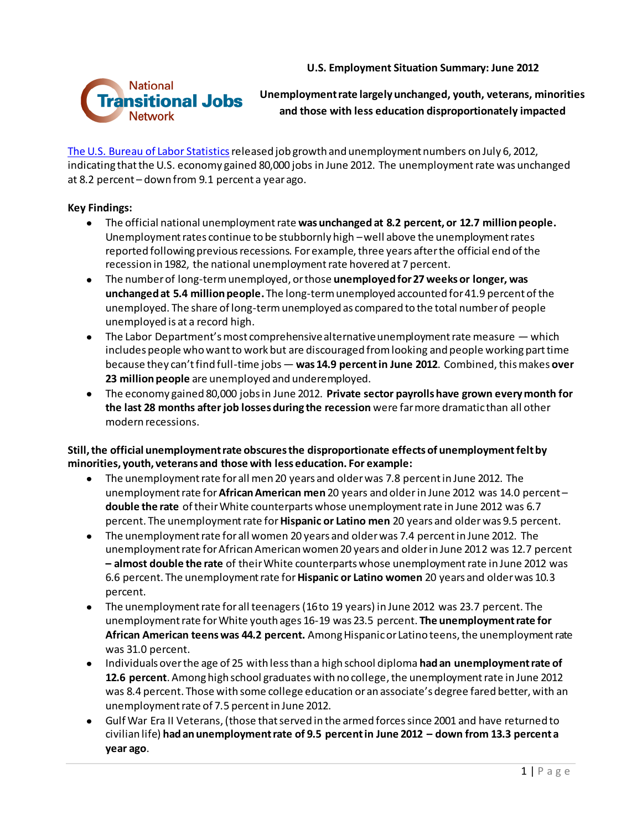**U.S. Employment Situation Summary: June 2012** 



**Unemployment rate largely unchanged, youth, veterans, minorities and those with less education disproportionately impacted** 

[The U.S. Bureau of](http://www.bls.gov/news.release/empsit.nr0.htm) Labor Statistics released job growth and unemployment numbers on July 6, 2012, indicating that the U.S. economy gained 80,000 jobs in June 2012. The unemployment rate was unchanged at 8.2 percent – down from 9.1 percent a year ago.

## **Key Findings:**

- The official national unemployment rate **was unchanged at 8.2 percent, or 12.7 million people.**  Unemployment rates continue to be stubbornly high –well above the unemployment rates reported following previous recessions. For example, three years after the official end of the recession in 1982, the national unemployment rate hovered at 7 percent.
- The number of long-term unemployed, or those **unemployed for 27 weeks or longer, was unchanged at 5.4 million people.** The long-term unemployed accounted for 41.9 percent of the unemployed. The share of long-term unemployed as compared to the total number of people unemployed is at a record high.
- The Labor Department's most comprehensive alternative unemployment rate measure which includes people who want to work but are discouraged from looking and people working part time because they can't find full-time jobs — **was 14.9 percent in June 2012**. Combined,this makes **over 23 million people** are unemployed and underemployed.
- The economy gained 80,000 jobs in June 2012. **Private sector payrolls have grown every month for the last 28 months after job losses during the recession** were far more dramatic than all other modern recessions.

## **Still, the official unemployment rate obscures the disproportionate effects of unemployment felt by minorities, youth, veterans and those with less education. For example:**

- The unemployment rate for all men 20 years and older was 7.8 percent in June 2012. The  $\bullet$ unemployment rate for **African American men** 20 years and older in June 2012 was 14.0 percent – **double the rate** of their White counterparts whose unemployment rate in June 2012 was 6.7 percent. The unemployment rate for **Hispanic or Latino men** 20 years and older was 9.5 percent.
- The unemployment rate for all women 20 years and older was 7.4 percent in June 2012. The unemployment rate for African American women 20 years and older in June 2012 was 12.7 percent **– almost double the rate** of their White counterparts whose unemploymentrate in June 2012 was 6.6 percent. The unemployment rate for **Hispanic or Latino women** 20 years and older was 10.3 percent.
- The unemployment rate for all teenagers (16 to 19 years) in June 2012 was 23.7 percent. The unemployment rate for White youth ages 16-19 was 23.5 percent. **The unemployment rate for African American teens was 44.2 percent.** Among Hispanic or Latino teens, the unemployment rate was 31.0 percent.
- Individuals over the age of 25 with less than a high school diploma **had an unemployment rate of 12.6 percent**. Among high school graduates with no college, the unemployment rate in June 2012 was 8.4 percent. Those with some college education or an associate's degree fared better, with an unemployment rate of 7.5 percent in June 2012.
- Gulf War Era II Veterans, (those that served in the armed forces since 2001 and have returned to civilian life) **had an unemployment rate of 9.5 percent in June 2012 – down from 13.3 percent a year ago**.